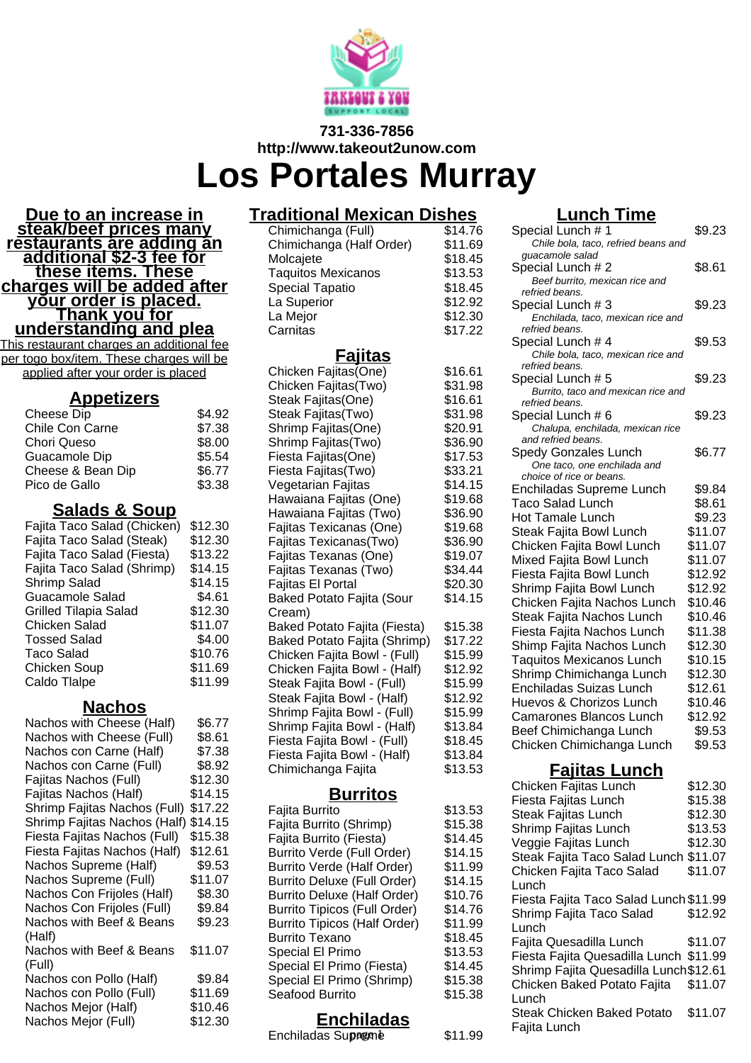

#### **731-336-7856 http://www.takeout2unow.com**

# **Los Portales Murray**

**Due to an increase in steak/beef prices many restaurants are adding an additional \$2-3 fee for these items. These charges will be added after your order is placed. Thank you for understanding and plea**

This restaurant charges an additional fee per togo box/item. These charges will be applied after your order is placed

#### **Appetizers**

| Cheese Dip        | \$4.92 |
|-------------------|--------|
| Chile Con Carne   | \$7.38 |
| Chori Queso       | \$8.00 |
| Guacamole Dip     | \$5.54 |
| Cheese & Bean Dip | \$6.77 |
| Pico de Gallo     | \$3.38 |
|                   |        |

#### **Salads & Soup**

| \$12.30 |
|---------|
| \$12.30 |
| \$13.22 |
| \$14.15 |
| \$14.15 |
| \$4.61  |
| \$12.30 |
| \$11.07 |
| \$4.00  |
| \$10.76 |
| \$11.69 |
| \$11.99 |
|         |

#### **Nachos**

| Nachos with Cheese (Half)    | \$6.77  |
|------------------------------|---------|
| Nachos with Cheese (Full)    | \$8.61  |
| Nachos con Carne (Half)      | \$7.38  |
| Nachos con Carne (Full)      | \$8.92  |
| Fajitas Nachos (Full)        | \$12.30 |
| Fajitas Nachos (Half)        | \$14.15 |
| Shrimp Fajitas Nachos (Full) | \$17.22 |
| Shrimp Fajitas Nachos (Half) | \$14.15 |
| Fiesta Fajitas Nachos (Full) | \$15.38 |
| Fiesta Fajitas Nachos (Half) | \$12.61 |
| Nachos Supreme (Half)        | \$9.53  |
| Nachos Supreme (Full)        | \$11.07 |
| Nachos Con Frijoles (Half)   | \$8.30  |
| Nachos Con Frijoles (Full)   | \$9.84  |
| Nachos with Beef & Beans     | \$9.23  |
| (Half)                       |         |
| Nachos with Beef & Beans     | \$11.07 |
| (Full)                       |         |
| Nachos con Pollo (Half)      | \$9.84  |
| Nachos con Pollo (Full)      | \$11.69 |
| Nachos Mejor (Half)          | \$10.46 |
| Nachos Mejor (Full)          | \$12.30 |
|                              |         |

# **Traditional Mexican Dishes**

Chimichanga (Full) \$14.76<br>Chimichanga (Half Order) \$11.69 Chimichanga (Half Order) \$11.69<br>Molcaiete \$18.45 Molcajete \$18.45<br>Taquitos Mexicanos \$13.53 Taquitos Mexicanos **\$13.53**<br>Special Tapatio **\$18.45** Special Tapatio **\$18.45**<br>La Superior **\$12.92** La Superior  $$12.92$ <br>La Meior  $$12.30$ La Mejor \$12.30 Carnitas

#### **Fajitas**

| Chicken Fajitas(One)               | \$16.61            |
|------------------------------------|--------------------|
| Chicken Fajitas(Two)               | \$31.98            |
| Steak Fajitas(One)                 | \$16.61            |
| Steak Fajitas(Two)                 | \$31.98            |
| Shrimp Fajitas(One)                | \$20.91            |
| Shrimp Fajitas(Two)                | \$36.90            |
| Fiesta Fajitas(One)                | \$17.53            |
| Fiesta Fajitas(Two)                | \$33.21            |
| Vegetarian Fajitas                 | \$14.15            |
| Hawaiana Fajitas (One)             | \$19.68            |
| Hawaiana Fajitas (Two)             | \$36.90            |
| Fajitas Texicanas (One)            | \$19.68            |
| Fajitas Texicanas(Two)             | \$36.90            |
| Fajitas Texanas (One)              | \$19.07            |
| Fajitas Texanas (Two)              | \$34.44            |
| Fajitas El Portal                  | \$20.30            |
| <b>Baked Potato Fajita (Sour</b>   | \$14.15            |
| Cream)                             |                    |
| Baked Potato Fajita (Fiesta)       | \$15.38            |
| Baked Potato Fajita (Shrimp)       | \$17.22            |
| Chicken Fajita Bowl - (Full)       | \$15.99            |
| Chicken Fajita Bowl - (Half)       | \$12.92            |
| Steak Fajita Bowl - (Full)         | \$15.99            |
| Steak Fajita Bowl - (Half)         | \$12.92            |
| Shrimp Fajita Bowl - (Full)        | \$15.99            |
| Shrimp Fajita Bowl - (Half)        | \$13.84            |
| Fiesta Fajita Bowl - (Full)        | \$18.45            |
| Fiesta Fajita Bowl - (Half)        | \$13.84            |
| Chimichanga Fajita                 | \$13.53            |
|                                    |                    |
| <u>Burritos</u>                    |                    |
| Fajita Burrito                     | \$13.53<br>\$15.38 |
| Fajita Burrito (Shrimp)            |                    |
| Fajita Burrito (Fiesta)            | \$14.45            |
| Burrito Verde (Full Order)         | \$14.15            |
| Burrito Verde (Half Order)         | \$11.99            |
| <b>Burrito Deluxe (Full Order)</b> | \$14.15            |

# **Lunch Time**

| Special Lunch # 1                                          |  | \$9.23  |
|------------------------------------------------------------|--|---------|
| Chile bola, taco, refried beans and<br>guacamole salad     |  |         |
| Special Lunch # 2                                          |  | \$8.61  |
| Beef burrito, mexican rice and                             |  |         |
| refried beans.                                             |  |         |
| Special Lunch # 3<br>Enchilada, taco, mexican rice and     |  | \$9.23  |
| refried beans.                                             |  |         |
| Special Lunch # 4                                          |  | \$9.53  |
| Chile bola, taco, mexican rice and                         |  |         |
| refried beans.                                             |  |         |
| Special Lunch # 5<br>Burrito, taco and mexican rice and    |  | \$9.23  |
| refried beans.                                             |  |         |
| Special Lunch # 6                                          |  | \$9.23  |
| Chalupa, enchilada, mexican rice                           |  |         |
| and refried beans.                                         |  |         |
| <b>Spedy Gonzales Lunch</b><br>One taco, one enchilada and |  | \$6.77  |
| choice of rice or beans.                                   |  |         |
| Enchiladas Supreme Lunch                                   |  | \$9.84  |
| Taco Salad Lunch                                           |  | \$8.61  |
| <b>Hot Tamale Lunch</b>                                    |  | \$9.23  |
| Steak Fajita Bowl Lunch                                    |  | \$11.07 |
| Chicken Fajita Bowl Lunch                                  |  | \$11.07 |
| Mixed Fajita Bowl Lunch                                    |  | \$11.07 |
| Fiesta Fajita Bowl Lunch                                   |  | \$12.92 |
| Shrimp Fajita Bowl Lunch                                   |  | \$12.92 |
| Chicken Fajita Nachos Lunch                                |  | \$10.46 |
| Steak Fajita Nachos Lunch                                  |  | \$10.46 |
| Fiesta Fajita Nachos Lunch                                 |  | \$11.38 |
| Shimp Fajita Nachos Lunch                                  |  | \$12.30 |
| <b>Taquitos Mexicanos Lunch</b>                            |  | \$10.15 |
| Shrimp Chimichanga Lunch                                   |  | \$12.30 |
| Enchiladas Suizas Lunch                                    |  | \$12.61 |
| Huevos & Chorizos Lunch                                    |  | \$10.46 |
| <b>Camarones Blancos Lunch</b>                             |  | \$12.92 |
| Beef Chimichanga Lunch                                     |  | \$9.53  |
| Chicken Chimichanga Lunch                                  |  | \$9.53  |
| <u>Fajitas Lunch</u>                                       |  |         |
| Chicken Fajitas Lunch                                      |  | \$12.30 |
| Fiesta Fajitas Lunch                                       |  | \$15.38 |
| Steak Fajitas Lunch                                        |  | \$12.30 |
| Shrimp Fajitas Lunch                                       |  | \$13.53 |
| Veggie Fajitas Lunch                                       |  | \$12.30 |
| Steak Fajita Taco Salad Lunch \$11.07                      |  |         |
| Chicken Fajita Taco Salad                                  |  | \$11.07 |
| Lunch                                                      |  |         |
| Fiesta Fajita Taco Salad Lunch \$11.99                     |  |         |
| Shrimp Fajita Taco Salad                                   |  | \$12.92 |
| Lunch                                                      |  |         |

| UNICKEN Fajitas Lunch                  | 30 I Z.3U |
|----------------------------------------|-----------|
| Fiesta Fajitas Lunch                   | \$15.38   |
| <b>Steak Fajitas Lunch</b>             | \$12.30   |
| Shrimp Fajitas Lunch                   | \$13.53   |
| Veggie Fajitas Lunch                   | \$12.30   |
| Steak Fajita Taco Salad Lunch \$11.07  |           |
| Chicken Fajita Taco Salad              | \$11.07   |
| Lunch                                  |           |
| Fiesta Fajita Taco Salad Lunch \$11.99 |           |
| Shrimp Fajita Taco Salad               | \$12.92   |
| Lunch                                  |           |
| Fajita Quesadilla Lunch                | \$11.07   |
| Fiesta Fajita Quesadilla Lunch \$11.99 |           |
| Shrimp Fajita Quesadilla Lunch\$12.61  |           |
| Chicken Baked Potato Fajita            | \$11.07   |
| Lunch                                  |           |
| Steak Chicken Baked Potato             | \$11.07   |
| Fajita Lunch                           |           |
|                                        |           |

# **Enchiladas**

Burrito Deluxe (Half Order) \$10.76 Burrito Tipicos (Full Order) \$14.76 Burrito Tipicos (Half Order) \$11.99 Burrito Texano **\$18.45** Special El Primo \$13.53 Special El Primo (Fiesta) \$14.45 Special El Primo (Shrimp) \$15.38 Seafood Burrito **\$15.38** 

Enchiladas Supreme \$11.99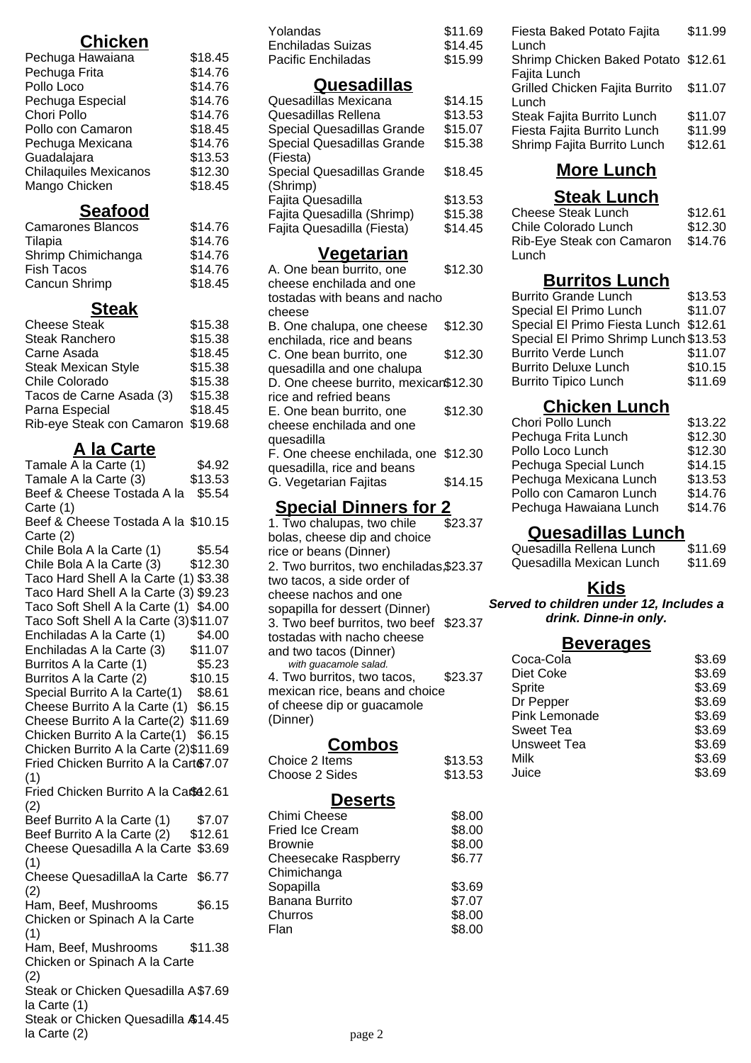# **Chicken**

| Pechuga Hawaiana             | \$18.45 |
|------------------------------|---------|
| Pechuga Frita                | \$14.76 |
| Pollo Loco                   | \$14.76 |
| Pechuga Especial             | \$14.76 |
| Chori Pollo                  | \$14.76 |
| Pollo con Camaron            | \$18.45 |
| Pechuga Mexicana             | \$14.76 |
| Guadalajara                  | \$13.53 |
| <b>Chilaquiles Mexicanos</b> | \$12.30 |
| Mango Chicken                | \$18.45 |
|                              |         |

### **Seafood**

| <b>Camarones Blancos</b> | \$14.76 |
|--------------------------|---------|
| Tilapia                  | \$14.76 |
| Shrimp Chimichanga       | \$14.76 |
| <b>Fish Tacos</b>        | \$14.76 |
| Cancun Shrimp            | \$18.45 |
|                          |         |

#### **Steak**

| <b>Cheese Steak</b>               | \$15.38 |
|-----------------------------------|---------|
| Steak Ranchero                    | \$15.38 |
| Carne Asada                       | \$18.45 |
| <b>Steak Mexican Style</b>        | \$15.38 |
| Chile Colorado                    | \$15.38 |
| Tacos de Carne Asada (3)          | \$15.38 |
| Parna Especial                    | \$18.45 |
| Rib-eye Steak con Camaron \$19.68 |         |
|                                   |         |

# **A la Carte**

Tamale  $\overline{A}$  la Carte (1)  $$4.92$ Tamale A la Carte  $(3)$  \$13.53 Beef & Cheese Tostada A la \$5.54 Carte (1) Beef & Cheese Tostada A la \$10.15 Carte (2) Chile Bola A la Carte (1) \$5.54 Chile Bola A la Carte  $(3)$  \$12.30 Taco Hard Shell A la Carte (1) \$3.38 Taco Hard Shell A la Carte (3) \$9.23 Taco Soft Shell A la Carte (1) \$4.00 Taco Soft Shell A la Carte (3)\$11.07 Enchiladas A la Carte (1) \$4.00 Enchiladas A la Carte  $(3)$  \$11.07 Burritos A la Carte (1) \$5.23 Burritos A la Carte (2) \$10.15 Special Burrito A la Carte(1) \$8.61 Cheese Burrito A la Carte (1) \$6.15 Cheese Burrito A la Carte(2) \$11.69 Chicken Burrito A la Carte(1) \$6.15 Chicken Burrito A la Carte (2)\$11.69 Fried Chicken Burrito A la Cart \$7.07 (1) Fried Chicken Burrito A la Caße 2.61 (2) Beef Burrito A la Carte (1) \$7.07 Beef Burrito A la Carte (2) \$12.61 Cheese Quesadilla A la Carte \$3.69 (1) Cheese QuesadillaA la Carte \$6.77 (2) Ham, Beef, Mushrooms Chicken or Spinach A la Carte (1) \$6.15 Ham, Beef, Mushrooms Chicken or Spinach A la Carte (2) \$11.38 Steak or Chicken Quesadilla A \$7.69 la Carte (1) Steak or Chicken Quesadilla \$14.45 la Carte (2)

| Yolandas                          | \$11.69 |
|-----------------------------------|---------|
| Enchiladas Suizas                 | \$14.45 |
| Pacific Enchiladas                | \$15.99 |
| Quesadillas                       |         |
| Quesadillas Mexicana              | \$14.15 |
| Quesadillas Rellena               | \$13.53 |
| Special Quesadillas Grande        | \$15.07 |
| <b>Special Quesadillas Grande</b> | \$15.38 |
| (Fiesta)                          |         |
| Special Quesadillas Grande        | \$18.45 |
| (Shrimp)                          |         |
| Fajita Quesadilla                 | \$13.53 |
| Fajita Quesadilla (Shrimp)        | \$15.38 |
| Fajita Quesadilla (Fiesta)        | \$14.45 |
| <u>Vegetarian</u>                 |         |
| $\Omega$ na hoon hurrito ono      | ሮ4 ገ ጋበ |

| A. VIIC DCAII DUITIIU, UIIC           | ں صحص ہ |
|---------------------------------------|---------|
| cheese enchilada and one              |         |
| tostadas with beans and nacho         |         |
| cheese                                |         |
| B. One chalupa, one cheese            | \$12.30 |
| enchilada, rice and beans             |         |
| C. One bean burrito, one              | \$12.30 |
| quesadilla and one chalupa            |         |
| D. One cheese burrito, mexican\$12.30 |         |
|                                       |         |
| rice and refried beans                |         |
| E. One bean burrito, one              | \$12.30 |
| cheese enchilada and one              |         |
| quesadilla                            |         |
| F. One cheese enchilada, one \$12.30  |         |
| quesadilla, rice and beans            |         |
| G. Vegetarian Fajitas                 | \$14.15 |
|                                       |         |

### **Special Dinners for 2**

1. Two chalupas, two chile bolas, cheese dip and choice rice or beans (Dinner) \$23.37 2. Two burritos, two enchiladas, \$23.37 two tacos, a side order of cheese nachos and one sopapilla for dessert (Dinner) 3. Two beef burritos, two beef \$23.37 tostadas with nacho cheese and two tacos (Dinner) with guacamole salad. 4. Two burritos, two tacos, mexican rice, beans and choice of cheese dip or guacamole (Dinner) \$23.37

### **Combos**

| Choice 2 Items | \$13.53 |
|----------------|---------|
| Choose 2 Sides | \$13.53 |

#### **Deserts**

| Chimi Cheese           | \$8.00 |
|------------------------|--------|
| <b>Fried Ice Cream</b> | \$8.00 |
| Brownie                | \$8.00 |
| Cheesecake Raspberry   | \$6.77 |
| Chimichanga            |        |
| Sopapilla              | \$3.69 |
| Banana Burrito         | \$7.07 |
| Churros                | \$8.00 |
| Flan                   | \$8.00 |
|                        |        |

| Fiesta Baked Potato Fajita<br>Lunch                                                               | \$11.99                       |
|---------------------------------------------------------------------------------------------------|-------------------------------|
| Shrimp Chicken Baked Potato \$12.61                                                               |                               |
| Fajita Lunch<br>Grilled Chicken Fajita Burrito                                                    | \$11.07                       |
| Lunch<br>Steak Fajita Burrito Lunch<br>Fiesta Fajita Burrito Lunch<br>Shrimp Fajita Burrito Lunch | \$11.07<br>\$11.99<br>\$12.61 |
|                                                                                                   |                               |

# **More Lunch**

#### **Steak Lunch** Cheese Steak Lunch \$12.61 Chile Colorado Lunch \$12.30 Rib-Eye Steak con Camaron **Lunch** \$14.76

## **Burritos Lunch**

| <b>Burrito Grande Lunch</b>           | \$13.53 |
|---------------------------------------|---------|
| Special El Primo Lunch                | \$11.07 |
| Special El Primo Fiesta Lunch \$12.61 |         |
| Special El Primo Shrimp Lunch \$13.53 |         |
| <b>Burrito Verde Lunch</b>            | \$11.07 |
| <b>Burrito Deluxe Lunch</b>           | \$10.15 |
| <b>Burrito Tipico Lunch</b>           | \$11.69 |
|                                       |         |

# **Chicken Lunch**

| Chori Pollo Lunch       | \$13.22 |
|-------------------------|---------|
| Pechuga Frita Lunch     | \$12.30 |
| Pollo Loco Lunch        | \$12.30 |
| Pechuga Special Lunch   | \$14.15 |
| Pechuga Mexicana Lunch  | \$13.53 |
| Pollo con Camaron Lunch | \$14.76 |
| Pechuga Hawaiana Lunch  | \$14.76 |
|                         |         |

#### **Quesadillas Lunch**

| Quesadilla Rellena Lunch | \$11.69 |
|--------------------------|---------|
| Quesadilla Mexican Lunch | \$11.69 |

#### **Kids**

**Served to children under 12, Includes a drink. Dinne-in only.**

#### **Beverages**

| Coca-Cola            | \$3.69 |
|----------------------|--------|
| Diet Coke            | \$3.69 |
| Sprite               | \$3.69 |
| Dr Pepper            | \$3.69 |
| <b>Pink Lemonade</b> | \$3.69 |
| Sweet Tea            | \$3.69 |
| Unsweet Tea          | \$3.69 |
| Milk                 | \$3.69 |
| Juice                | \$3.69 |
|                      |        |